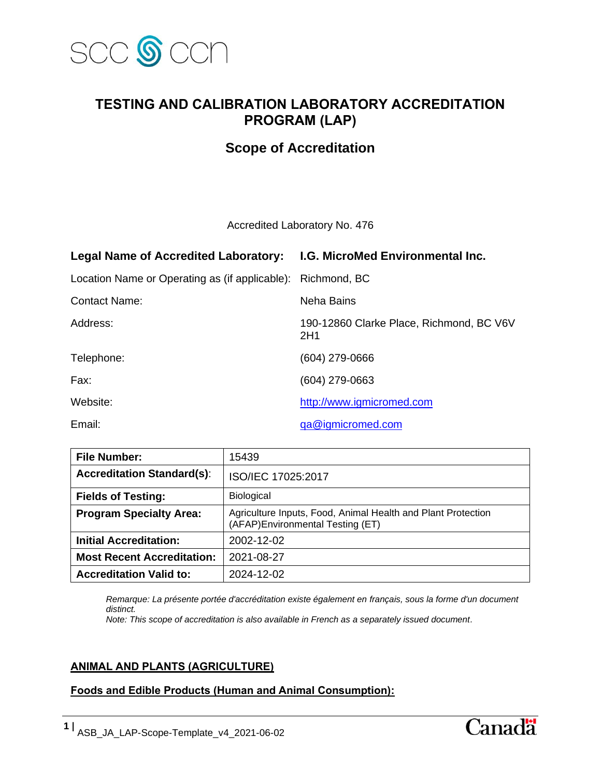

# **TESTING AND CALIBRATION LABORATORY ACCREDITATION PROGRAM (LAP)**

## **Scope of Accreditation**

Accredited Laboratory No. 476

| Legal Name of Accredited Laboratory: I.G. MicroMed Environmental Inc. |                                                 |
|-----------------------------------------------------------------------|-------------------------------------------------|
| Location Name or Operating as (if applicable): Richmond, BC           |                                                 |
| <b>Contact Name:</b>                                                  | Neha Bains                                      |
| Address:                                                              | 190-12860 Clarke Place, Richmond, BC V6V<br>2H1 |
| Telephone:                                                            | (604) 279-0666                                  |
| Fax:                                                                  | (604) 279-0663                                  |
| Website:                                                              | http://www.igmicromed.com                       |
| Email:                                                                | ga@igmicromed.com                               |

**File Number:** 15439 **Accreditation Standard(s)**: ISO/IEC 17025:2017 **Fields of Testing:** Biological **Program Specialty Area:** | Agriculture Inputs, Food, Animal Health and Plant Protection (AFAP)Environmental Testing (ET) **Initial Accreditation:** 2002-12-02 **Most Recent Accreditation: 2021-08-27 Accreditation Valid to:** 2024-12-02

*Remarque: La présente portée d'accréditation existe également en français, sous la forme d'un document distinct.*

*Note: This scope of accreditation is also available in French as a separately issued document.*

### **ANIMAL AND PLANTS (AGRICULTURE)**

### **Foods and Edible Products (Human and Animal Consumption):**

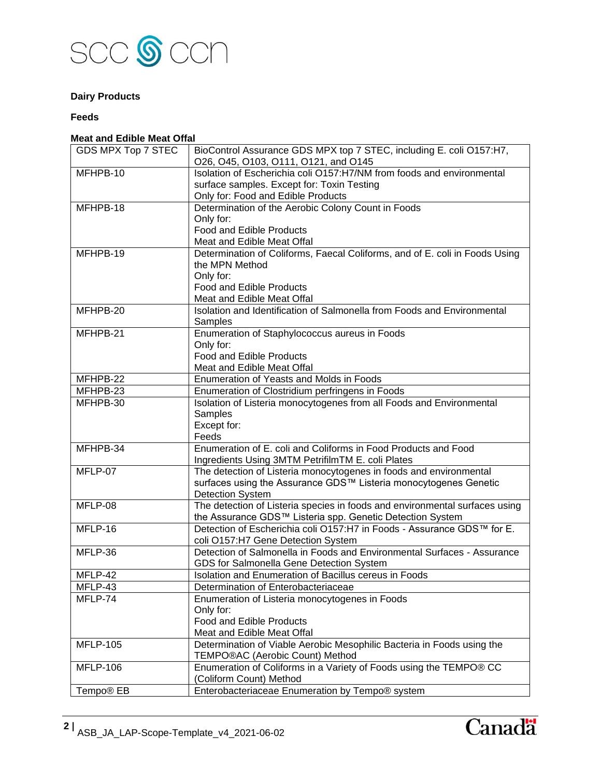

### **Dairy Products**

#### **Feeds**

#### **Meat and Edible Meat Offal**

| GDS MPX Top 7 STEC    | BioControl Assurance GDS MPX top 7 STEC, including E. coli O157:H7,         |
|-----------------------|-----------------------------------------------------------------------------|
|                       | O26, O45, O103, O111, O121, and O145                                        |
| $MFHPB-10$            | Isolation of Escherichia coli O157:H7/NM from foods and environmental       |
|                       | surface samples. Except for: Toxin Testing                                  |
|                       | Only for: Food and Edible Products                                          |
| MFHPB-18              | Determination of the Aerobic Colony Count in Foods                          |
|                       | Only for:                                                                   |
|                       | <b>Food and Edible Products</b>                                             |
|                       | Meat and Edible Meat Offal                                                  |
| MFHPB-19              | Determination of Coliforms, Faecal Coliforms, and of E. coli in Foods Using |
|                       | the MPN Method                                                              |
|                       | Only for:                                                                   |
|                       | <b>Food and Edible Products</b>                                             |
|                       | Meat and Edible Meat Offal                                                  |
| MFHPB-20              | Isolation and Identification of Salmonella from Foods and Environmental     |
|                       | Samples                                                                     |
| MFHPB-21              | Enumeration of Staphylococcus aureus in Foods                               |
|                       | Only for:                                                                   |
|                       | Food and Edible Products                                                    |
|                       | Meat and Edible Meat Offal                                                  |
| MFHPB-22              | Enumeration of Yeasts and Molds in Foods                                    |
| MFHPB-23              | Enumeration of Clostridium perfringens in Foods                             |
| MFHPB-30              | Isolation of Listeria monocytogenes from all Foods and Environmental        |
|                       | Samples                                                                     |
|                       | Except for:                                                                 |
|                       | Feeds                                                                       |
| MFHPB-34              | Enumeration of E. coli and Coliforms in Food Products and Food              |
|                       | Ingredients Using 3MTM PetrifilmTM E. coli Plates                           |
| MFLP-07               | The detection of Listeria monocytogenes in foods and environmental          |
|                       | surfaces using the Assurance GDS™ Listeria monocytogenes Genetic            |
|                       | <b>Detection System</b>                                                     |
| MFLP-08               | The detection of Listeria species in foods and environmental surfaces using |
|                       | the Assurance GDS™ Listeria spp. Genetic Detection System                   |
| MFLP-16               | Detection of Escherichia coli O157:H7 in Foods - Assurance GDS™ for E.      |
|                       | coli O157:H7 Gene Detection System                                          |
| MFLP-36               | Detection of Salmonella in Foods and Environmental Surfaces - Assurance     |
|                       | GDS for Salmonella Gene Detection System                                    |
| MFLP-42               | Isolation and Enumeration of Bacillus cereus in Foods                       |
| MFLP-43               | Determination of Enterobacteriaceae                                         |
| MFLP-74               | Enumeration of Listeria monocytogenes in Foods                              |
|                       | Only for:                                                                   |
|                       | Food and Edible Products                                                    |
|                       | Meat and Edible Meat Offal                                                  |
| <b>MFLP-105</b>       | Determination of Viable Aerobic Mesophilic Bacteria in Foods using the      |
|                       | TEMPO®AC (Aerobic Count) Method                                             |
| <b>MFLP-106</b>       | Enumeration of Coliforms in a Variety of Foods using the TEMPO® CC          |
|                       | (Coliform Count) Method                                                     |
| Tempo <sup>®</sup> EB | Enterobacteriaceae Enumeration by Tempo® system                             |
|                       |                                                                             |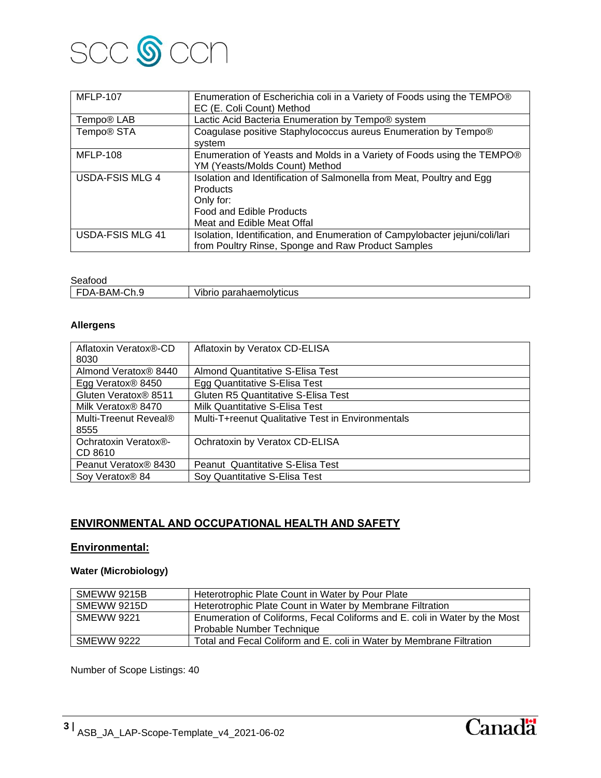

| <b>MFLP-107</b>         | Enumeration of Escherichia coli in a Variety of Foods using the TEMPO®<br>EC (E. Coli Count) Method                                                                    |
|-------------------------|------------------------------------------------------------------------------------------------------------------------------------------------------------------------|
| Tempo <sup>®</sup> LAB  | Lactic Acid Bacteria Enumeration by Tempo® system                                                                                                                      |
| Tempo <sup>®</sup> STA  | Coagulase positive Staphylococcus aureus Enumeration by Tempo®<br>system                                                                                               |
| <b>MFLP-108</b>         | Enumeration of Yeasts and Molds in a Variety of Foods using the TEMPO®<br>YM (Yeasts/Molds Count) Method                                                               |
| <b>USDA-FSIS MLG 4</b>  | Isolation and Identification of Salmonella from Meat, Poultry and Egg<br><b>Products</b><br>Only for:<br><b>Food and Edible Products</b><br>Meat and Edible Meat Offal |
| <b>USDA-FSIS MLG 41</b> | Isolation, Identification, and Enumeration of Campylobacter jejuni/coli/lari<br>from Poultry Rinse, Sponge and Raw Product Samples                                     |

#### Seafood

| <b>UUUIUUU</b>                             |                                                           |
|--------------------------------------------|-----------------------------------------------------------|
| ົົ່<br>۱Λ<br>AM.<br>∵⊣ر<br>$\cdot$ .<br>◡… | 1.11<br>olvtıcus<br>- - -<br>Vibi<br>ГIС<br>paranaen<br>ш |
|                                            |                                                           |

### **Allergens**

| Aflatoxin Veratox®-CD<br>8030 | Aflatoxin by Veratox CD-ELISA                     |
|-------------------------------|---------------------------------------------------|
| Almond Veratox® 8440          | <b>Almond Quantitative S-Elisa Test</b>           |
| Egg Veratox <sup>®</sup> 8450 | Egg Quantitative S-Elisa Test                     |
| Gluten Veratox® 8511          | <b>Gluten R5 Quantitative S-Elisa Test</b>        |
| Milk Veratox® 8470            | Milk Quantitative S-Elisa Test                    |
| Multi-Treenut Reveal®         | Multi-T+reenut Qualitative Test in Environmentals |
| 8555                          |                                                   |
| Ochratoxin Veratox®-          | Ochratoxin by Veratox CD-ELISA                    |
| CD 8610                       |                                                   |
| Peanut Veratox® 8430          | Peanut Quantitative S-Elisa Test                  |
| Soy Veratox <sup>®</sup> 84   | Soy Quantitative S-Elisa Test                     |

### **ENVIRONMENTAL AND OCCUPATIONAL HEALTH AND SAFETY**

### **Environmental:**

### **Water (Microbiology)**

| SMEWW 9215B        | Heterotrophic Plate Count in Water by Pour Plate                           |
|--------------------|----------------------------------------------------------------------------|
| <b>SMEWW 9215D</b> | Heterotrophic Plate Count in Water by Membrane Filtration                  |
| <b>SMEWW 9221</b>  | Enumeration of Coliforms, Fecal Coliforms and E. coli in Water by the Most |
|                    | Probable Number Technique                                                  |
| <b>SMEWW 9222</b>  | Total and Fecal Coliform and E. coli in Water by Membrane Filtration       |

Number of Scope Listings: 40